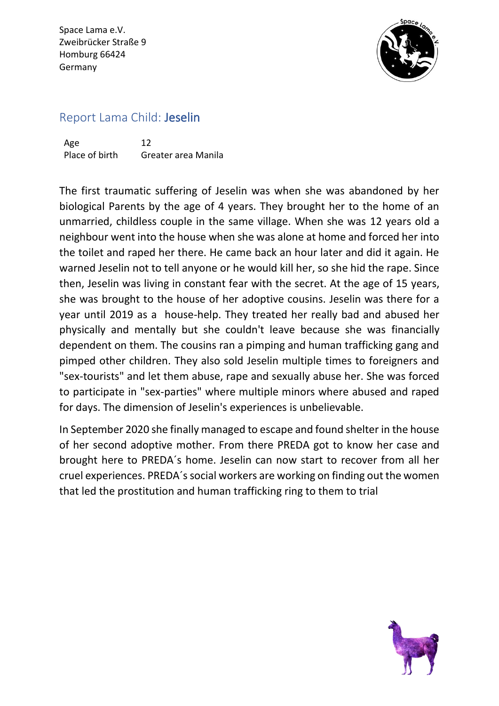Space Lama e.V. Zweibrücker Straße 9 Homburg 66424 Germany



## Report Lama Child: Jeselin

Age 12 Place of birth Greater area Manila

The first traumatic suffering of Jeselin was when she was abandoned by her biological Parents by the age of 4 years. They brought her to the home of an unmarried, childless couple in the same village. When she was 12 years old a neighbour went into the house when she was alone at home and forced her into the toilet and raped her there. He came back an hour later and did it again. He warned Jeselin not to tell anyone or he would kill her, so she hid the rape. Since then, Jeselin was living in constant fear with the secret. At the age of 15 years, she was brought to the house of her adoptive cousins. Jeselin was there for a year until 2019 as a house-help. They treated her really bad and abused her physically and mentally but she couldn't leave because she was financially dependent on them. The cousins ran a pimping and human trafficking gang and pimped other children. They also sold Jeselin multiple times to foreigners and "sex-tourists" and let them abuse, rape and sexually abuse her. She was forced to participate in "sex-parties" where multiple minors where abused and raped for days. The dimension of Jeselin's experiences is unbelievable.

In September 2020 she finally managed to escape and found shelter in the house of her second adoptive mother. From there PREDA got to know her case and brought here to PREDA´s home. Jeselin can now start to recover from all her cruel experiences. PREDA´ssocial workers are working on finding out the women that led the prostitution and human trafficking ring to them to trial